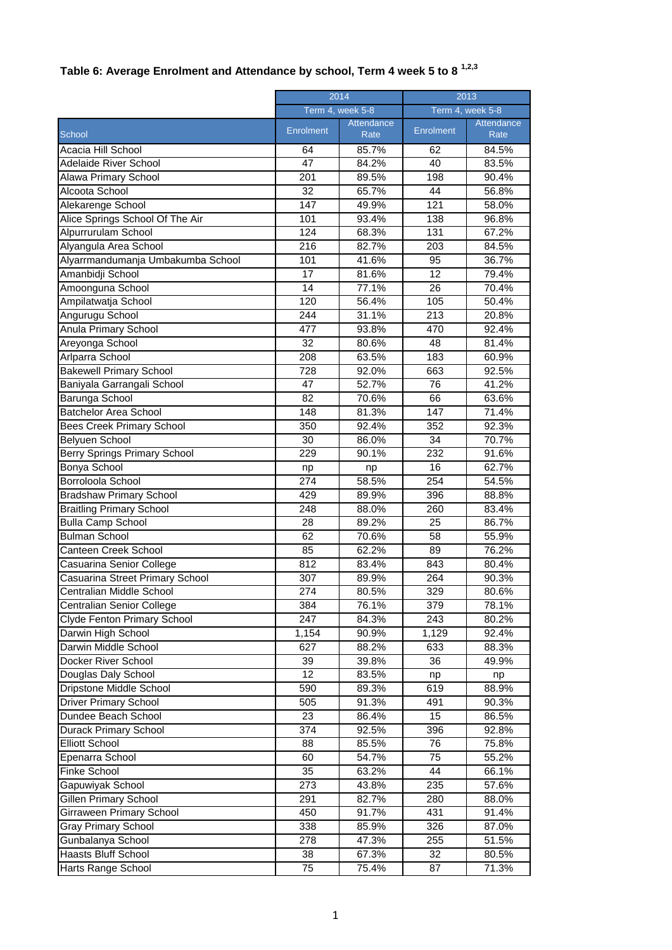## **Table 6: Average Enrolment and Attendance by school, Term 4 week 5 to 8 1,2,3**

|                                   | 2014<br>Term 4, week 5-8 |                    | 2013<br>Term 4, week 5-8 |                    |
|-----------------------------------|--------------------------|--------------------|--------------------------|--------------------|
|                                   |                          |                    |                          |                    |
| School                            | <b>Enrolment</b>         | Attendance<br>Rate | Enrolment                | Attendance<br>Rate |
| Acacia Hill School                | 64                       | 85.7%              | 62                       | 84.5%              |
| Adelaide River School             | 47                       | 84.2%              | 40                       | 83.5%              |
| Alawa Primary School              | 201                      | 89.5%              | 198                      | 90.4%              |
| Alcoota School                    | 32                       | 65.7%              | 44                       | 56.8%              |
| Alekarenge School                 | 147                      | 49.9%              | 121                      | 58.0%              |
| Alice Springs School Of The Air   | 101                      | 93.4%              | 138                      | 96.8%              |
| Alpurrurulam School               | 124                      | 68.3%              | 131                      | 67.2%              |
| Alyangula Area School             | 216                      | 82.7%              | 203                      | 84.5%              |
| Alyarrmandumanja Umbakumba School | 101                      | 41.6%              | 95                       | 36.7%              |
| Amanbidji School                  | 17                       | 81.6%              | 12                       | 79.4%              |
| Amoonguna School                  | 14                       | 77.1%              | 26                       | 70.4%              |
| Ampilatwatja School               | 120                      | 56.4%              | 105                      | 50.4%              |
| Angurugu School                   | 244                      | 31.1%              | 213                      | 20.8%              |
| Anula Primary School              | 477                      | 93.8%              | 470                      | 92.4%              |
| Areyonga School                   | 32                       | 80.6%              | 48                       | 81.4%              |
| Arlparra School                   | 208                      | 63.5%              | 183                      | 60.9%              |
| <b>Bakewell Primary School</b>    | 728                      | 92.0%              | 663                      | 92.5%              |
| Baniyala Garrangali School        | 47                       | 52.7%              | 76                       | 41.2%              |
| Barunga School                    | $\overline{82}$          | 70.6%              | 66                       | 63.6%              |
| <b>Batchelor Area School</b>      | 148                      | 81.3%              | 147                      | 71.4%              |
| <b>Bees Creek Primary School</b>  | 350                      | 92.4%              | 352                      | 92.3%              |
| Belyuen School                    | 30                       | 86.0%              | 34                       | 70.7%              |
| Berry Springs Primary School      | 229                      | 90.1%              | 232                      | 91.6%              |
| <b>Bonya School</b>               | np                       | np                 | 16                       | 62.7%              |
| Borroloola School                 | $\overline{274}$         | 58.5%              | 254                      | 54.5%              |
| <b>Bradshaw Primary School</b>    | 429                      | 89.9%              | 396                      | 88.8%              |
| <b>Braitling Primary School</b>   | 248                      | 88.0%              | 260                      | 83.4%              |
| <b>Bulla Camp School</b>          | 28                       | 89.2%              | 25                       | 86.7%              |
| <b>Bulman School</b>              | 62                       | 70.6%              | 58                       | 55.9%              |
| Canteen Creek School              | 85                       | 62.2%              | 89                       | 76.2%              |
| Casuarina Senior College          | 812                      | 83.4%              | 843                      | 80.4%              |
| Casuarina Street Primary School   | 307                      | 89.9%              | 264                      | 90.3%              |
| Centralian Middle School          | 274                      | 80.5%              | 329                      | 80.6%              |
| <b>Centralian Senior College</b>  | 384                      | 76.1%              | 379                      | 78.1%              |
| Clyde Fenton Primary School       | 247                      | 84.3%              | 243                      | 80.2%              |
| Darwin High School                | 1,154                    | 90.9%              | 1,129                    | 92.4%              |
| Darwin Middle School              | 627                      | 88.2%              | 633                      | 88.3%              |
| Docker River School               | 39                       | 39.8%              | 36                       | 49.9%              |
| Douglas Daly School               | 12                       | 83.5%              | np                       | np                 |
| Dripstone Middle School           | 590                      | 89.3%              | 619                      | 88.9%              |
| <b>Driver Primary School</b>      | 505                      | 91.3%              | 491                      | 90.3%              |
| Dundee Beach School               | 23                       | 86.4%              | 15                       | 86.5%              |
| <b>Durack Primary School</b>      | 374                      | 92.5%              | 396                      | 92.8%              |
| <b>Elliott School</b>             | 88                       | 85.5%              | 76                       | 75.8%              |
| Epenarra School                   | 60                       | 54.7%              | 75                       | 55.2%              |
| Finke School                      | 35                       | 63.2%              | 44                       | 66.1%              |
| Gapuwiyak School                  | 273                      | 43.8%              | 235                      | 57.6%              |
| Gillen Primary School             | 291                      | 82.7%              | 280                      | 88.0%              |
| Girraween Primary School          | 450                      | 91.7%              | 431                      | 91.4%              |
| <b>Gray Primary School</b>        | 338                      | 85.9%              | 326                      | 87.0%              |
| Gunbalanya School                 | 278                      | 47.3%              | 255                      | 51.5%              |
| <b>Haasts Bluff School</b>        | 38                       | 67.3%              | 32                       | 80.5%              |
| Harts Range School                | 75                       | 75.4%              | 87                       | 71.3%              |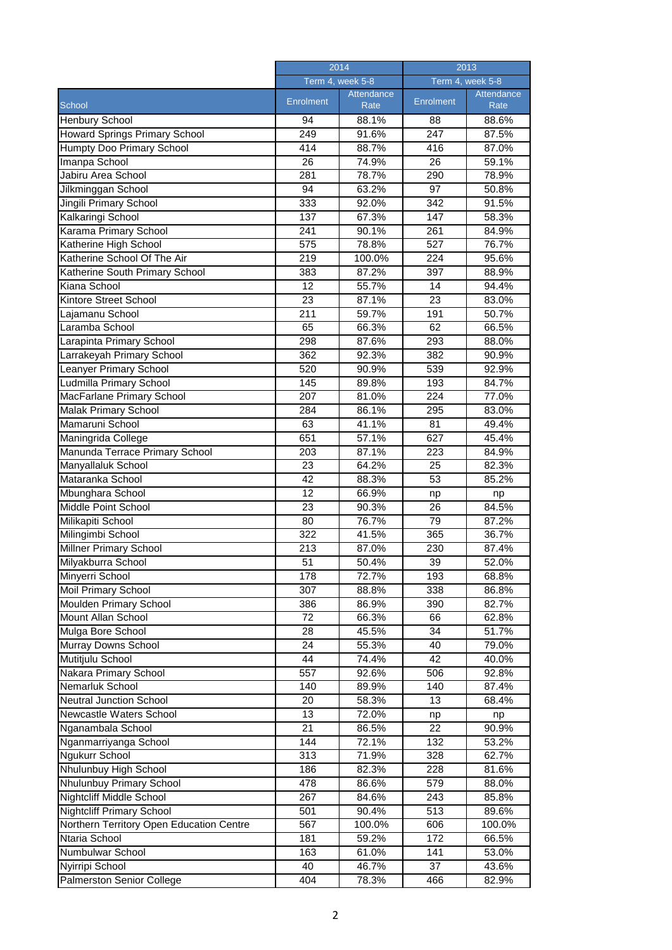|                                          | 2014             |                    | 2013             |                    |
|------------------------------------------|------------------|--------------------|------------------|--------------------|
|                                          | Term 4, week 5-8 |                    | Term 4, week 5-8 |                    |
| School                                   | Enrolment        | Attendance<br>Rate | Enrolment        | Attendance<br>Rate |
| <b>Henbury School</b>                    | 94               | 88.1%              | 88               | 88.6%              |
| Howard Springs Primary School            | 249              | 91.6%              | 247              | 87.5%              |
| <b>Humpty Doo Primary School</b>         | 414              | 88.7%              | 416              | 87.0%              |
| Imanpa School                            | 26               | 74.9%              | 26               | 59.1%              |
| Jabiru Area School                       | 281              | 78.7%              | 290              | 78.9%              |
| Jilkminggan School                       | 94               | 63.2%              | 97               | 50.8%              |
| Jingili Primary School                   | 333              | 92.0%              | 342              | 91.5%              |
| Kalkaringi School                        | 137              | 67.3%              | 147              | 58.3%              |
| Karama Primary School                    | 241              | 90.1%              | 261              | 84.9%              |
| Katherine High School                    | 575              | 78.8%              | 527              | 76.7%              |
| Katherine School Of The Air              | $\overline{219}$ | 100.0%             | 224              | 95.6%              |
| Katherine South Primary School           | 383              | 87.2%              | 397              | 88.9%              |
| Kiana School                             | 12               | 55.7%              | 14               | 94.4%              |
| Kintore Street School                    | 23               | 87.1%              | 23               | 83.0%              |
| Lajamanu School                          | 211              | 59.7%              | 191              | 50.7%              |
| Laramba School                           | 65               | 66.3%              | 62               | 66.5%              |
| Larapinta Primary School                 | 298              | 87.6%              | 293              | 88.0%              |
| Larrakeyah Primary School                | 362              | 92.3%              | 382              | 90.9%              |
| <b>Leanyer Primary School</b>            | 520              | 90.9%              | 539              | 92.9%              |
| Ludmilla Primary School                  | 145              | 89.8%              | 193              | 84.7%              |
| MacFarlane Primary School                | 207              | 81.0%              | 224              | 77.0%              |
| Malak Primary School                     | 284              | 86.1%              | 295              | 83.0%              |
| Mamaruni School                          | 63               | 41.1%              | 81               | 49.4%              |
| Maningrida College                       | 651              | 57.1%              | 627              | 45.4%              |
| Manunda Terrace Primary School           | 203              | 87.1%              | 223              | 84.9%              |
| Manyallaluk School                       | 23               | 64.2%              | 25               | 82.3%              |
| Mataranka School                         | 42               | 88.3%              | 53               | 85.2%              |
| Mbunghara School                         | 12               | 66.9%              | np               | np                 |
| Middle Point School                      | 23               | 90.3%              | 26               | 84.5%              |
| Milikapiti School                        | 80               | 76.7%              | 79               | 87.2%              |
| Milingimbi School                        | 322              | 41.5%              | 365              | 36.7%              |
| Millner Primary School                   | 213              | 87.0%              | 230              | 87.4%              |
| Milyakburra School                       | 51               | 50.4%              | 39               | 52.0%              |
| Minyerri School                          | 178              | 72.7%              | 193              | 68.8%              |
| <b>Moil Primary School</b>               | 307              | 88.8%              | 338              | 86.8%              |
| Moulden Primary School                   | 386              | 86.9%              | 390              | 82.7%              |
| Mount Allan School                       | 72               | 66.3%              | 66               | 62.8%              |
| Mulga Bore School                        | 28               | 45.5%              | 34               | 51.7%              |
| Murray Downs School                      | 24               | 55.3%              | 40               | 79.0%              |
| Mutitjulu School                         | 44               | 74.4%              | 42               | 40.0%              |
| Nakara Primary School                    | 557              | 92.6%              | 506              | 92.8%              |
| Nemarluk School                          | 140              | 89.9%              | 140              | 87.4%              |
| <b>Neutral Junction School</b>           | 20               | 58.3%              | 13               | 68.4%              |
| Newcastle Waters School                  | 13               | 72.0%              | np               | np                 |
| Nganambala School                        | 21               | 86.5%              | 22               | 90.9%              |
| Nganmarriyanga School                    | 144              | 72.1%              | 132              | 53.2%              |
| Ngukurr School                           | 313              | 71.9%              | 328              | 62.7%              |
| Nhulunbuy High School                    | 186              | 82.3%              | 228              | 81.6%              |
| Nhulunbuy Primary School                 | 478              | 86.6%              | 579              | 88.0%              |
| Nightcliff Middle School                 | 267              | 84.6%              | 243              | 85.8%              |
| <b>Nightcliff Primary School</b>         | 501              | 90.4%              | 513              | 89.6%              |
| Northern Territory Open Education Centre | 567              | 100.0%             | 606              | 100.0%             |
| Ntaria School                            | 181              | 59.2%              | 172              | 66.5%              |
| Numbulwar School                         | 163              | 61.0%              | 141              | 53.0%              |
| Nyirripi School                          | 40               | 46.7%              | 37               | 43.6%              |
| Palmerston Senior College                | 404              | 78.3%              | 466              | 82.9%              |